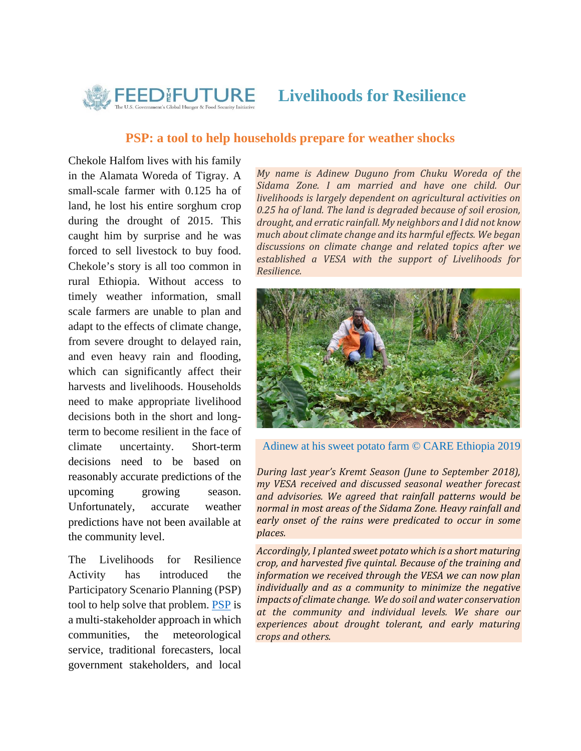

**Livelihoods for Resilience** 

## **PSP: a tool to help households prepare for weather shocks**

Chekole Halfom lives with his family in the Alamata Woreda of Tigray. A small-scale farmer with 0.125 ha of land, he lost his entire sorghum crop during the drought of 2015. This caught him by surprise and he was forced to sell livestock to buy food. Chekole's story is all too common in rural Ethiopia. Without access to timely weather information, small scale farmers are unable to plan and adapt to the effects of climate change, from severe drought to delayed rain, and even heavy rain and flooding, which can significantly affect their harvests and livelihoods. Households need to make appropriate livelihood decisions both in the short and longterm to become resilient in the face of climate uncertainty. Short-term decisions need to be based on reasonably accurate predictions of the upcoming growing season. Unfortunately, accurate weather predictions have not been available at the community level.

The Livelihoods for Resilience Activity has introduced the Participatory Scenario Planning (PSP) tool to help solve that problem. PSP is a multi-stakeholder approach in which communities, the meteorological service, traditional forecasters, local government stakeholders, and local *My name is Adinew Duguno from Chuku Woreda of the Sidama Zone. I am married and have one child. Our livelihoods is largely dependent on agricultural activities on 0.25 ha of land. The land is degraded because of soil erosion, drought, and erratic rainfall. My neighbors and I did not know much about climate change and its harmful effects. We began discussions on climate change and related topics after we established a VESA with the support of Livelihoods for Resilience.*



Adinew at his sweet potato farm © CARE Ethiopia 2019

*During last year's Kremt Season (June to September 2018), my VESA received and discussed seasonal weather forecast and advisories. We agreed that rainfall patterns would be normal in most areas of the Sidama Zone. Heavy rainfall and early onset of the rains were predicated to occur in some*  $places.$ 

*Accordingly, I planted sweet potato which is a short maturing crop, and harvested five quintal. Because of the training and information we received through the VESA we can now plan individually and as a community to minimize the negative impacts of climate change. We do soil and water conservation at the community and individual levels. We share our experiences about drought tolerant, and early maturing crops and others.*